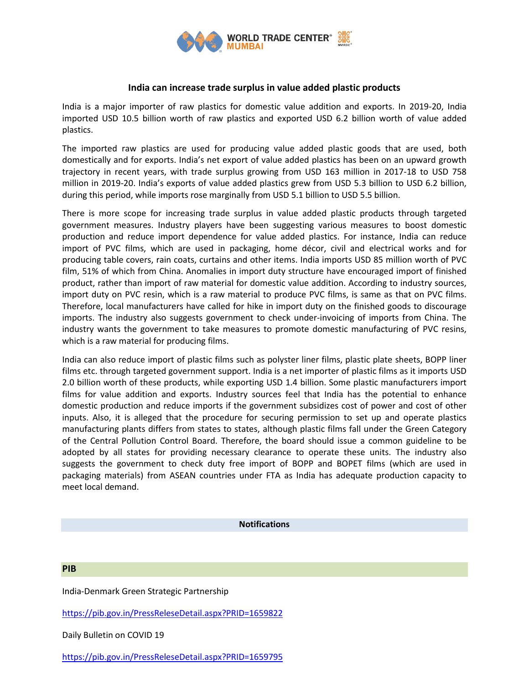

## **India can increase trade surplus in value added plastic products**

India is a major importer of raw plastics for domestic value addition and exports. In 2019-20, India imported USD 10.5 billion worth of raw plastics and exported USD 6.2 billion worth of value added plastics.

The imported raw plastics are used for producing value added plastic goods that are used, both domestically and for exports. India's net export of value added plastics has been on an upward growth trajectory in recent years, with trade surplus growing from USD 163 million in 2017-18 to USD 758 million in 2019-20. India's exports of value added plastics grew from USD 5.3 billion to USD 6.2 billion, during this period, while imports rose marginally from USD 5.1 billion to USD 5.5 billion.

There is more scope for increasing trade surplus in value added plastic products through targeted government measures. Industry players have been suggesting various measures to boost domestic production and reduce import dependence for value added plastics. For instance, India can reduce import of PVC films, which are used in packaging, home décor, civil and electrical works and for producing table covers, rain coats, curtains and other items. India imports USD 85 million worth of PVC film, 51% of which from China. Anomalies in import duty structure have encouraged import of finished product, rather than import of raw material for domestic value addition. According to industry sources, import duty on PVC resin, which is a raw material to produce PVC films, is same as that on PVC films. Therefore, local manufacturers have called for hike in import duty on the finished goods to discourage imports. The industry also suggests government to check under-invoicing of imports from China. The industry wants the government to take measures to promote domestic manufacturing of PVC resins, which is a raw material for producing films.

India can also reduce import of plastic films such as polyster liner films, plastic plate sheets, BOPP liner films etc. through targeted government support. India is a net importer of plastic films as it imports USD 2.0 billion worth of these products, while exporting USD 1.4 billion. Some plastic manufacturers import films for value addition and exports. Industry sources feel that India has the potential to enhance domestic production and reduce imports if the government subsidizes cost of power and cost of other inputs. Also, it is alleged that the procedure for securing permission to set up and operate plastics manufacturing plants differs from states to states, although plastic films fall under the Green Category of the Central Pollution Control Board. Therefore, the board should issue a common guideline to be adopted by all states for providing necessary clearance to operate these units. The industry also suggests the government to check duty free import of BOPP and BOPET films (which are used in packaging materials) from ASEAN countries under FTA as India has adequate production capacity to meet local demand.

#### **Notifications**

### **PIB**

India-Denmark Green Strategic Partnership

<https://pib.gov.in/PressReleseDetail.aspx?PRID=1659822>

Daily Bulletin on COVID 19